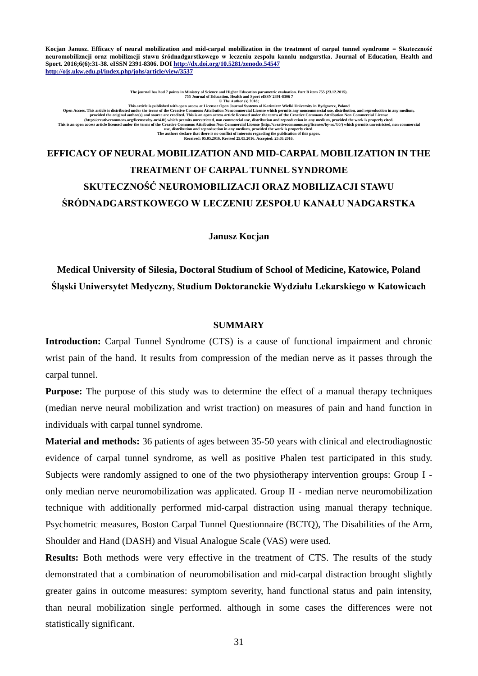**Kocjan Janusz. Efficacy of neural mobilization and mid-carpal mobilization in the treatment of carpal tunnel syndrome = Skuteczność neuromobilizacji oraz mobilizacji stawu śródnadgarstkowego w leczeniu zespołu kanału nadgarstka. Journal of Education, Health and Sport. 2016;6(6):31-38. eISSN 2391-8306. DO[I http://dx.doi.org/10.5281/zenodo.54547](http://dx.doi.org/10.5281/zenodo.54547) <http://ojs.ukw.edu.pl/index.php/johs/article/view/3537>**

The journal has had 7 points in Ministry of Science and Higher Education, Heath and Sport eLSSN 2391-8306 7.<br>Open Access. This article is distributed under the terms of the creative Commons Attribution Noncommercial Licens

# **EFFICACY OF NEURAL MOBILIZATION AND MID-CARPAL MOBILIZATION IN THE TREATMENT OF CARPAL TUNNEL SYNDROME SKUTECZNOŚĆ NEUROMOBILIZACJI ORAZ MOBILIZACJI STAWU ŚRÓDNADGARSTKOWEGO W LECZENIU ZESPOŁU KANAŁU NADGARSTKA**

**Janusz Kocjan**

**Medical University of Silesia, Doctoral Studium of School of Medicine, Katowice, Poland Śląski Uniwersytet Medyczny, Studium Doktoranckie Wydziału Lekarskiego w Katowicach**

#### **SUMMARY**

**Introduction:** Carpal Tunnel Syndrome (CTS) is a cause of functional impairment and chronic wrist pain of the hand. It results from compression of the median nerve as it passes through the carpal tunnel.

**Purpose:** The purpose of this study was to determine the effect of a manual therapy techniques (median nerve neural mobilization and wrist traction) on measures of pain and hand function in individuals with carpal tunnel syndrome.

**Material and methods:** 36 patients of ages between 35-50 years with clinical and electrodiagnostic evidence of carpal tunnel syndrome, as well as positive Phalen test participated in this study. Subjects were randomly assigned to one of the two physiotherapy intervention groups: Group I only median nerve neuromobilization was applicated. Group II - median nerve neuromobilization technique with additionally performed mid-carpal distraction using manual therapy technique. Psychometric measures, Boston Carpal Tunnel Questionnaire (BCTQ), The Disabilities of the Arm, Shoulder and Hand (DASH) and Visual Analogue Scale (VAS) were used.

**Results:** Both methods were very effective in the treatment of CTS. The results of the study demonstrated that a combination of neuromobilisation and mid-carpal distraction brought slightly greater gains in outcome measures: symptom severity, hand functional status and pain intensity, than neural mobilization single performed. although in some cases the differences were not statistically significant.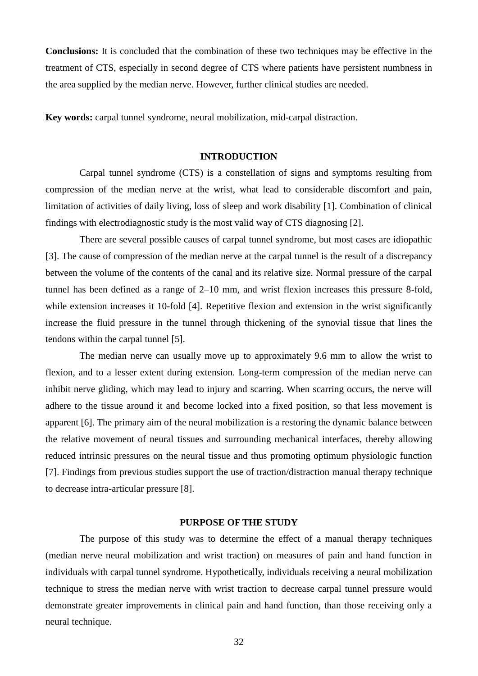**Conclusions:** It is concluded that the combination of these two techniques may be effective in the treatment of CTS, especially in second degree of CTS where patients have persistent numbness in the area supplied by the median nerve. However, further clinical studies are needed.

**Key words:** carpal tunnel syndrome, neural mobilization, mid-carpal distraction.

### **INTRODUCTION**

Carpal tunnel syndrome (CTS) is a constellation of signs and symptoms resulting from compression of the median nerve at the wrist, what lead to considerable discomfort and pain, limitation of activities of daily living, loss of sleep and work disability [1]. Combination of clinical findings with electrodiagnostic study is the most valid way of CTS diagnosing [2].

There are several possible causes of carpal tunnel syndrome, but most cases are idiopathic [3]. The cause of compression of the median nerve at the carpal tunnel is the result of a discrepancy between the volume of the contents of the canal and its relative size. Normal pressure of the carpal tunnel has been defined as a range of 2–10 mm, and wrist flexion increases this pressure 8-fold, while extension increases it 10-fold [4]. Repetitive flexion and extension in the wrist significantly increase the fluid pressure in the tunnel through thickening of the synovial tissue that lines the tendons within the carpal tunnel [5].

The median nerve can usually move up to approximately 9.6 mm to allow the wrist to flexion, and to a lesser extent during extension. Long-term compression of the median nerve can inhibit nerve gliding, which may lead to injury and scarring. When scarring occurs, the nerve will adhere to the tissue around it and become locked into a fixed position, so that less movement is apparent [6]. The primary aim of the neural mobilization is a restoring the dynamic balance between the relative movement of neural tissues and surrounding mechanical interfaces, thereby allowing reduced intrinsic pressures on the neural tissue and thus promoting optimum physiologic function [7]. Findings from previous studies support the use of traction/distraction manual therapy technique to decrease intra-articular pressure [8].

## **PURPOSE OF THE STUDY**

The purpose of this study was to determine the effect of a manual therapy techniques (median nerve neural mobilization and wrist traction) on measures of pain and hand function in individuals with carpal tunnel syndrome. Hypothetically, individuals receiving a neural mobilization technique to stress the median nerve with wrist traction to decrease carpal tunnel pressure would demonstrate greater improvements in clinical pain and hand function, than those receiving only a neural technique.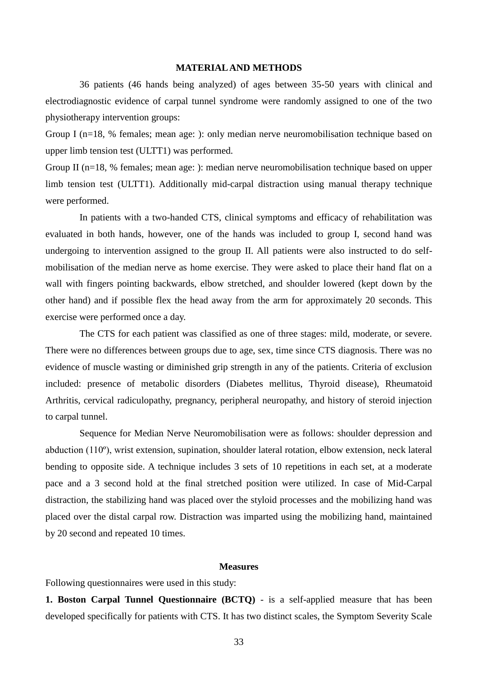#### **MATERIAL AND METHODS**

36 patients (46 hands being analyzed) of ages between 35-50 years with clinical and electrodiagnostic evidence of carpal tunnel syndrome were randomly assigned to one of the two physiotherapy intervention groups:

Group I (n=18, % females; mean age: ): only median nerve neuromobilisation technique based on upper limb tension test (ULTT1) was performed.

Group II (n=18, % females; mean age: ): median nerve neuromobilisation technique based on upper limb tension test (ULTT1). Additionally mid-carpal distraction using manual therapy technique were performed.

In patients with a two-handed CTS, clinical symptoms and efficacy of rehabilitation was evaluated in both hands, however, one of the hands was included to group I, second hand was undergoing to intervention assigned to the group II. All patients were also instructed to do selfmobilisation of the median nerve as home exercise. They were asked to place their hand flat on a wall with fingers pointing backwards, elbow stretched, and shoulder lowered (kept down by the other hand) and if possible flex the head away from the arm for approximately 20 seconds. This exercise were performed once a day.

The CTS for each patient was classified as one of three stages: mild, moderate, or severe. There were no differences between groups due to age, sex, time since CTS diagnosis. There was no evidence of muscle wasting or diminished grip strength in any of the patients. Criteria of exclusion included: presence of metabolic disorders (Diabetes mellitus, Thyroid disease), Rheumatoid Arthritis, cervical radiculopathy, pregnancy, peripheral neuropathy, and history of steroid injection to carpal tunnel.

Sequence for Median Nerve Neuromobilisation were as follows: shoulder depression and abduction (110º), wrist extension, supination, shoulder lateral rotation, elbow extension, neck lateral bending to opposite side. A technique includes 3 sets of 10 repetitions in each set, at a moderate pace and a 3 second hold at the final stretched position were utilized. In case of Mid-Carpal distraction, the stabilizing hand was placed over the styloid processes and the mobilizing hand was placed over the distal carpal row. Distraction was imparted using the mobilizing hand, maintained by 20 second and repeated 10 times.

# **Measures**

Following questionnaires were used in this study:

**1. Boston Carpal Tunnel Questionnaire (BCTQ)** - is a self-applied measure that has been developed specifically for patients with CTS. It has two distinct scales, the Symptom Severity Scale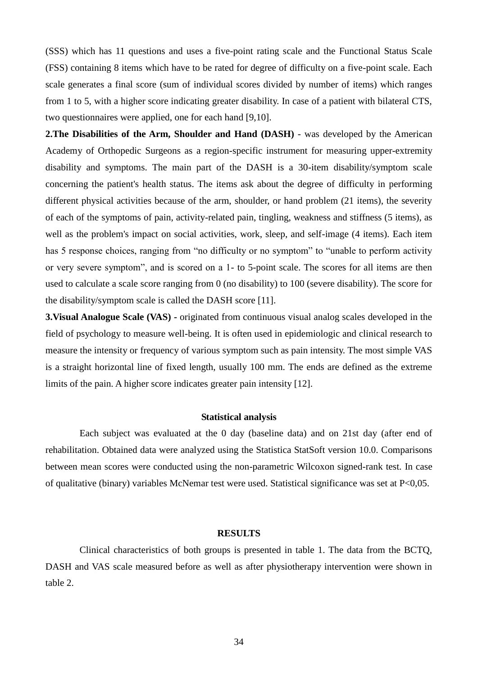(SSS) which has 11 questions and uses a five-point rating scale and the Functional Status Scale (FSS) containing 8 items which have to be rated for degree of difficulty on a five-point scale. Each scale generates a final score (sum of individual scores divided by number of items) which ranges from 1 to 5, with a higher score indicating greater disability. In case of a patient with bilateral CTS, two questionnaires were applied, one for each hand [9,10].

**2.The Disabilities of the Arm, Shoulder and Hand (DASH)** - was developed by the American Academy of Orthopedic Surgeons as a region-specific instrument for measuring upper-extremity disability and symptoms. The main part of the DASH is a 30-item disability/symptom scale concerning the patient's health status. The items ask about the degree of difficulty in performing different physical activities because of the arm, shoulder, or hand problem (21 items), the severity of each of the symptoms of pain, activity-related pain, tingling, weakness and stiffness (5 items), as well as the problem's impact on social activities, work, sleep, and self-image (4 items). Each item has 5 response choices, ranging from "no difficulty or no symptom" to "unable to perform activity or very severe symptom", and is scored on a 1- to 5-point scale. The scores for all items are then used to calculate a scale score ranging from 0 (no disability) to 100 (severe disability). The score for the disability/symptom scale is called the DASH score [11].

**3.Visual Analogue Scale (VAS) -** originated from continuous visual analog scales developed in the field of psychology to measure well-being. It is often used in epidemiologic and clinical research to measure the intensity or frequency of various symptom such as pain intensity. The most simple VAS is a straight horizontal line of fixed length, usually 100 mm. The ends are defined as the extreme limits of the pain. A higher score indicates greater pain intensity [12].

#### **Statistical analysis**

Each subject was evaluated at the 0 day (baseline data) and on 21st day (after end of rehabilitation. Obtained data were analyzed using the Statistica StatSoft version 10.0. Comparisons between mean scores were conducted using the non-parametric Wilcoxon signed-rank test. In case of qualitative (binary) variables McNemar test were used. Statistical significance was set at P<0,05.

#### **RESULTS**

Clinical characteristics of both groups is presented in table 1. The data from the BCTQ, DASH and VAS scale measured before as well as after physiotherapy intervention were shown in table 2.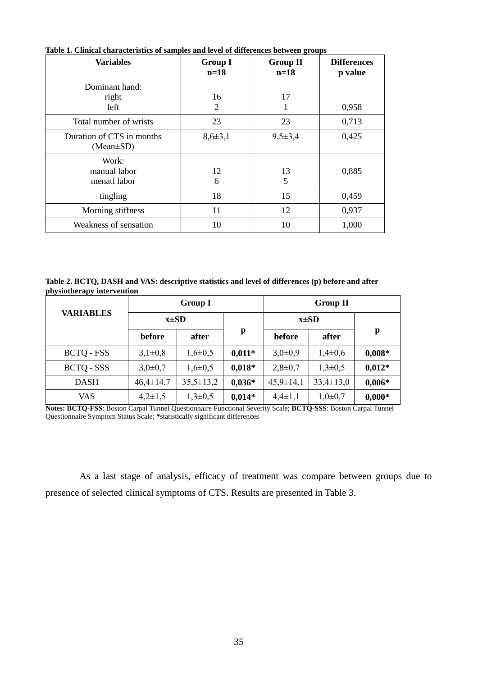| <b>Variables</b>                             | <b>Group I</b><br>$n=18$ | <b>Group II</b><br>$n=18$ | <b>Differences</b><br>p value |
|----------------------------------------------|--------------------------|---------------------------|-------------------------------|
| Dominant hand:                               |                          |                           |                               |
| right                                        | 16                       | 17                        |                               |
| left                                         | 2                        | 1                         | 0,958                         |
| Total number of wrists                       | 23                       | 23                        | 0,713                         |
| Duration of CTS in months<br>$(Mean \pm SD)$ | $8,6 \pm 3,1$            | $9,5\pm3,4$               | 0,425                         |
| Work:<br>manual labor<br>menatl labor        | 12<br>6                  | 13<br>5                   | 0,885                         |
| tingling                                     | 18                       | 15                        | 0,459                         |
| Morning stiffness                            | 11                       | 12                        | 0,937                         |
| Weakness of sensation                        | 10                       | 10                        | 1,000                         |

**Table 1. Clinical characteristics of samples and level of differences between groups**

**Table 2. BCTQ, DASH and VAS: descriptive statistics and level of differences (p) before and after physiotherapy intervention**

|                   | <b>Group I</b>  |                 |              | <b>Group II</b> |                |          |
|-------------------|-----------------|-----------------|--------------|-----------------|----------------|----------|
| <b>VARIABLES</b>  | $x\pm SD$       |                 |              | $x\pm SD$       |                |          |
|                   | before          | after           | $\mathbf{p}$ | before          | after          | p        |
| <b>BCTQ - FSS</b> | $3,1\pm0,8$     | $1,6 \pm 0.5$   | $0.011*$     | $3,0\pm0,9$     | $1,4\pm0,6$    | $0,008*$ |
| BCTQ - SSS        | $3,0\pm0,7$     | $1,6 \pm 0.5$   | $0,018*$     | $2,8 \pm 0.7$   | $1,3\pm0,5$    | $0,012*$ |
| <b>DASH</b>       | $46,4 \pm 14,7$ | $35,5 \pm 13,2$ | $0,036*$     | $45,9 \pm 14,1$ | $33,4\pm 13,0$ | $0,006*$ |
| <b>VAS</b>        | $4,2\pm 1,5$    | $1,3\pm 0,5$    | $0.014*$     | $4,4\pm1,1$     | $1,0\pm 0,7$   | $0,000*$ |

**Notes: BCTQ-FSS**: Boston Carpal Tunnel Questionnaire Functional Severity Scale; **BCTQ-SSS**: Boston Carpal Tunnel Questionnaire Symptom Status Scale; **\***statistically significant differences

As a last stage of analysis, efficacy of treatment was compare between groups due to presence of selected clinical symptoms of CTS. Results are presented in Table 3.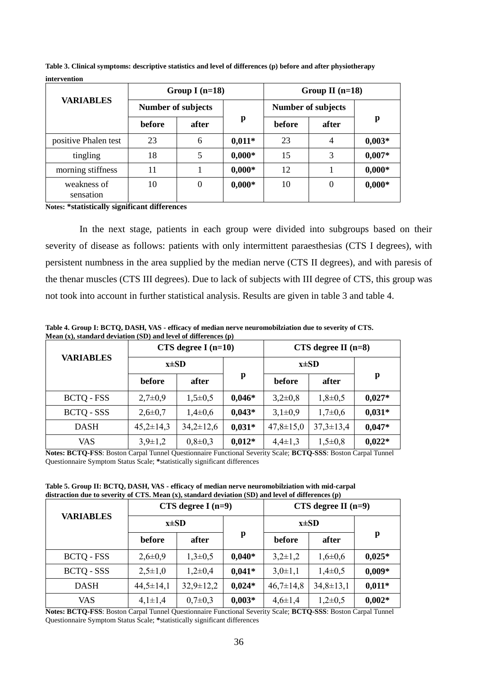| <b>VARIABLES</b>         | Group I $(n=18)$          |                  |          | Group II $(n=18)$         |                  |          |
|--------------------------|---------------------------|------------------|----------|---------------------------|------------------|----------|
|                          | <b>Number of subjects</b> |                  |          | <b>Number of subjects</b> |                  |          |
|                          | before                    | after            | p        | before                    | after            | p        |
| positive Phalen test     | 23                        | 6                | $0,011*$ | 23                        | 4                | $0,003*$ |
| tingling                 | 18                        | 5                | $0,000*$ | 15                        | 3                | $0,007*$ |
| morning stiffness        | 11                        |                  | $0,000*$ | 12                        |                  | $0,000*$ |
| weakness of<br>sensation | 10                        | $\boldsymbol{0}$ | $0,000*$ | 10                        | $\boldsymbol{0}$ | $0,000*$ |

**Table 3. Clinical symptoms: descriptive statistics and level of differences (p) before and after physiotherapy intervention**

**Notes: \*statistically significant differences**

In the next stage, patients in each group were divided into subgroups based on their severity of disease as follows: patients with only intermittent paraesthesias (CTS I degrees), with persistent numbness in the area supplied by the median nerve (CTS II degrees), and with paresis of the thenar muscles (CTS III degrees). Due to lack of subjects with III degree of CTS, this group was not took into account in further statistical analysis. Results are given in table 3 and table 4.

|                   | CTS degree I $(n=10)$ |                |          | $CTS$ degree II (n=8) |                 |          |
|-------------------|-----------------------|----------------|----------|-----------------------|-----------------|----------|
| VARIABLES         | $x\pm SD$             |                |          | $x\pm SD$             |                 |          |
|                   | before                | after          | p        | before                | after           | p        |
| <b>BCTQ - FSS</b> | $2,7\pm0,9$           | $1,5\pm0,5$    | $0,046*$ | $3,2\pm0,8$           | $1,8 \pm 0.5$   | $0,027*$ |
| BCTQ - SSS        | $2,6 \pm 0.7$         | $1,4\pm0,6$    | $0,043*$ | $3,1\pm0,9$           | $1,7\pm0,6$     | $0,031*$ |
| <b>DASH</b>       | $45,2\pm 14,3$        | $34,2\pm 12,6$ | $0,031*$ | $47,8 \pm 15,0$       | $37,3 \pm 13,4$ | $0,047*$ |
| VAS.              | $3,9\pm1,2$           | $0,8 \pm 0,3$  | $0,012*$ | $4,4\pm1,3$           | $1,5\pm0.8$     | $0,022*$ |

**Table 4. Group I: BCTQ, DASH, VAS - efficacy of median nerve neuromobilziation due to severity of CTS. Mean (x), standard deviation (SD) and level of differences (p)**

**Notes: BCTQ-FSS**: Boston Carpal Tunnel Questionnaire Functional Severity Scale; **BCTQ-SSS**: Boston Carpal Tunnel Questionnaire Symptom Status Scale; **\***statistically significant differences

**Table 5. Group II: BCTQ, DASH, VAS - efficacy of median nerve neuromobilziation with mid-carpal distraction due to severity of CTS. Mean (x), standard deviation (SD) and level of differences (p)**

|                   | CTS degree $I(n=9)$ |                 |          | CTS degree II $(n=9)$ |                 |          |
|-------------------|---------------------|-----------------|----------|-----------------------|-----------------|----------|
| <b>VARIABLES</b>  | $x\pm SD$           |                 |          | $x\pm SD$             |                 |          |
|                   | before              | after           | p        | before                | after           | p        |
| <b>BCTQ - FSS</b> | $2,6 \pm 0.9$       | $1,3\pm 0,5$    | $0,040*$ | $3,2\pm1,2$           | $1,6 \pm 0,6$   | $0,025*$ |
| BCTQ - SSS        | $2,5 \pm 1,0$       | $1,2\pm0,4$     | $0,041*$ | $3,0\pm1,1$           | $1,4\pm 0,5$    | $0,009*$ |
| <b>DASH</b>       | $44,5 \pm 14,1$     | $32,9 \pm 12,2$ | $0.024*$ | $46,7 \pm 14,8$       | $34,8 \pm 13,1$ | $0,011*$ |
| VAS               | $4,1 \pm 1,4$       | $0,7 \pm 0,3$   | $0,003*$ | $4,6 \pm 1,4$         | $1,2\pm 0,5$    | $0,002*$ |

**Notes: BCTQ-FSS**: Boston Carpal Tunnel Questionnaire Functional Severity Scale; **BCTQ-SSS**: Boston Carpal Tunnel Questionnaire Symptom Status Scale; **\***statistically significant differences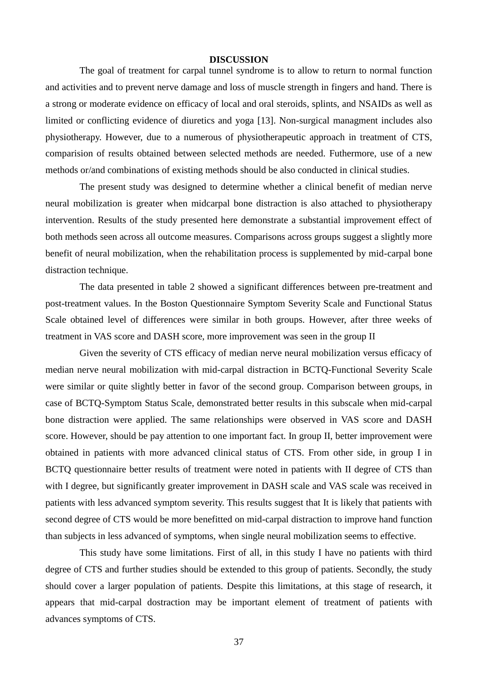#### **DISCUSSION**

The goal of treatment for carpal tunnel syndrome is to allow to return to normal function and activities and to prevent nerve damage and loss of muscle strength in fingers and hand. There is a strong or moderate evidence on efficacy of local and oral steroids, splints, and NSAIDs as well as limited or conflicting evidence of diuretics and yoga [13]. Non-surgical managment includes also physiotherapy. However, due to a numerous of physiotherapeutic approach in treatment of CTS, comparision of results obtained between selected methods are needed. Futhermore, use of a new methods or/and combinations of existing methods should be also conducted in clinical studies.

The present study was designed to determine whether a clinical benefit of median nerve neural mobilization is greater when midcarpal bone distraction is also attached to physiotherapy intervention. Results of the study presented here demonstrate a substantial improvement effect of both methods seen across all outcome measures. Comparisons across groups suggest a slightly more benefit of neural mobilization, when the rehabilitation process is supplemented by mid-carpal bone distraction technique.

The data presented in table 2 showed a significant differences between pre-treatment and post-treatment values. In the Boston Questionnaire Symptom Severity Scale and Functional Status Scale obtained level of differences were similar in both groups. However, after three weeks of treatment in VAS score and DASH score, more improvement was seen in the group II

Given the severity of CTS efficacy of median nerve neural mobilization versus efficacy of median nerve neural mobilization with mid-carpal distraction in BCTQ-Functional Severity Scale were similar or quite slightly better in favor of the second group. Comparison between groups, in case of BCTQ-Symptom Status Scale, demonstrated better results in this subscale when mid-carpal bone distraction were applied. The same relationships were observed in VAS score and DASH score. However, should be pay attention to one important fact. In group II, better improvement were obtained in patients with more advanced clinical status of CTS. From other side, in group I in BCTQ questionnaire better results of treatment were noted in patients with II degree of CTS than with I degree, but significantly greater improvement in DASH scale and VAS scale was received in patients with less advanced symptom severity. This results suggest that It is likely that patients with second degree of CTS would be more benefitted on mid-carpal distraction to improve hand function than subjects in less advanced of symptoms, when single neural mobilization seems to effective.

This study have some limitations. First of all, in this study I have no patients with third degree of CTS and further studies should be extended to this group of patients. Secondly, the study should cover a larger population of patients. Despite this limitations, at this stage of research, it appears that mid-carpal dostraction may be important element of treatment of patients with advances symptoms of CTS.